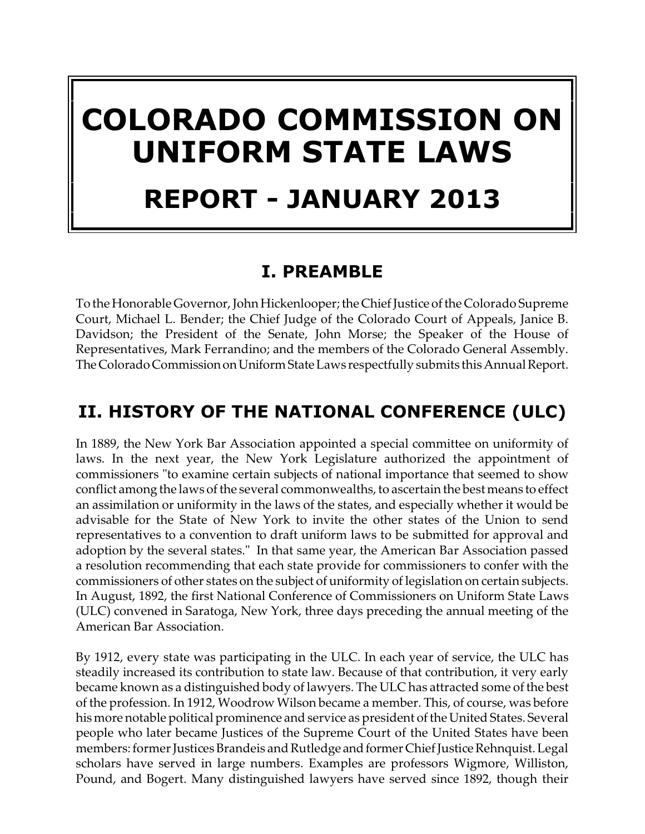# **COLORADO COMMISSION ON UNIFORM STATE LAWS REPORT - JANUARY 2013**

# **I. PREAMBLE**

To the Honorable Governor, John Hickenlooper; the Chief Justice of the Colorado Supreme Court, Michael L. Bender; the Chief Judge of the Colorado Court of Appeals, Janice B. Davidson; the President of the Senate, John Morse; the Speaker of the House of Representatives, Mark Ferrandino; and the members of the Colorado General Assembly. TheColorado CommissiononUniformStateLaws respectfully submits this Annual Report.

# **II. HISTORY OF THE NATIONAL CONFERENCE (ULC)**

In 1889, the New York Bar Association appointed a special committee on uniformity of laws. In the next year, the New York Legislature authorized the appointment of commissioners "to examine certain subjects of national importance that seemed to show conflict among the laws of the several commonwealths, to ascertain the best means to effect an assimilation or uniformity in the laws of the states, and especially whether it would be advisable for the State of New York to invite the other states of the Union to send representatives to a convention to draft uniform laws to be submitted for approval and adoption by the several states." In that same year, the American Bar Association passed a resolution recommending that each state provide for commissioners to confer with the commissioners of other states on the subject of uniformity of legislation on certain subjects. In August, 1892, the first National Conference of Commissioners on Uniform State Laws (ULC) convened in Saratoga, New York, three days preceding the annual meeting of the American Bar Association.

By 1912, every state was participating in the ULC. In each year of service, the ULC has steadily increased its contribution to state law. Because of that contribution, it very early became known as a distinguished body of lawyers. The ULC has attracted some of the best of the profession. In 1912, Woodrow Wilson became a member. This, of course, was before his more notable political prominence and service as president of the United States. Several people who later became Justices of the Supreme Court of the United States have been members: former Justices Brandeis and Rutledge and former Chief Justice Rehnquist. Legal scholars have served in large numbers. Examples are professors Wigmore, Williston, Pound, and Bogert. Many distinguished lawyers have served since 1892, though their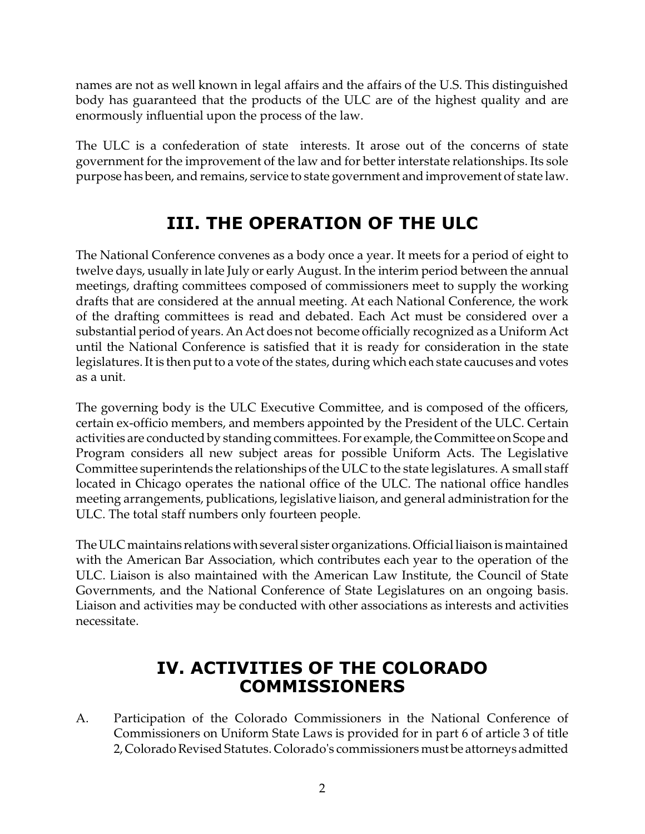names are not as well known in legal affairs and the affairs of the U.S. This distinguished body has guaranteed that the products of the ULC are of the highest quality and are enormously influential upon the process of the law.

The ULC is a confederation of state interests. It arose out of the concerns of state government for the improvement of the law and for better interstate relationships. Its sole purpose has been, and remains, service to state government and improvement of state law.

# **III. THE OPERATION OF THE ULC**

The National Conference convenes as a body once a year. It meets for a period of eight to twelve days, usually in late July or early August. In the interim period between the annual meetings, drafting committees composed of commissioners meet to supply the working drafts that are considered at the annual meeting. At each National Conference, the work of the drafting committees is read and debated. Each Act must be considered over a substantial period of years. An Act does not become officially recognized as a Uniform Act until the National Conference is satisfied that it is ready for consideration in the state legislatures. It is then put to a vote of the states, during which each state caucuses and votes as a unit.

The governing body is the ULC Executive Committee, and is composed of the officers, certain ex-officio members, and members appointed by the President of the ULC. Certain activities are conducted by standing committees. For example, the Committee on Scope and Program considers all new subject areas for possible Uniform Acts. The Legislative Committee superintends the relationships of the ULC to the state legislatures. A small staff located in Chicago operates the national office of the ULC. The national office handles meeting arrangements, publications, legislative liaison, and general administration for the ULC. The total staff numbers only fourteen people.

The ULC maintains relations with several sister organizations. Official liaison is maintained with the American Bar Association, which contributes each year to the operation of the ULC. Liaison is also maintained with the American Law Institute, the Council of State Governments, and the National Conference of State Legislatures on an ongoing basis. Liaison and activities may be conducted with other associations as interests and activities necessitate.

# **IV. ACTIVITIES OF THE COLORADO COMMISSIONERS**

A. Participation of the Colorado Commissioners in the National Conference of Commissioners on Uniform State Laws is provided for in part 6 of article 3 of title 2,Colorado Revised Statutes. Colorado's commissioners must be attorneys admitted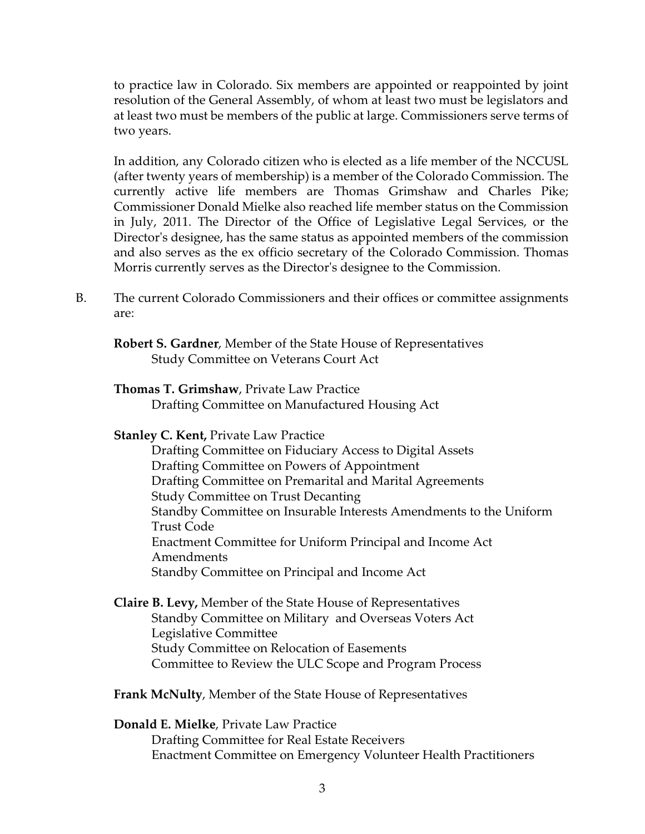to practice law in Colorado. Six members are appointed or reappointed by joint resolution of the General Assembly, of whom at least two must be legislators and at least two must be members of the public at large. Commissioners serve terms of two years.

In addition, any Colorado citizen who is elected as a life member of the NCCUSL (after twenty years of membership) is a member of the Colorado Commission. The currently active life members are Thomas Grimshaw and Charles Pike; Commissioner Donald Mielke also reached life member status on the Commission in July, 2011. The Director of the Office of Legislative Legal Services, or the Director's designee, has the same status as appointed members of the commission and also serves as the ex officio secretary of the Colorado Commission. Thomas Morris currently serves as the Director's designee to the Commission.

B. The current Colorado Commissioners and their offices or committee assignments are:

**Robert S. Gardner**, Member of the State House of Representatives Study Committee on Veterans Court Act

### **Thomas T. Grimshaw**, Private Law Practice

Drafting Committee on Manufactured Housing Act

#### **Stanley C. Kent,** Private Law Practice

Drafting Committee on Fiduciary Access to Digital Assets Drafting Committee on Powers of Appointment Drafting Committee on Premarital and Marital Agreements Study Committee on Trust Decanting Standby Committee on Insurable Interests Amendments to the Uniform Trust Code Enactment Committee for Uniform Principal and Income Act Amendments Standby Committee on Principal and Income Act

- **Claire B. Levy,** Member of the State House of Representatives Standby Committee on Military and Overseas Voters Act Legislative Committee Study Committee on Relocation of Easements Committee to Review the ULC Scope and Program Process
- **Frank McNulty**, Member of the State House of Representatives

### **Donald E. Mielke**, Private Law Practice

Drafting Committee for Real Estate Receivers Enactment Committee on Emergency Volunteer Health Practitioners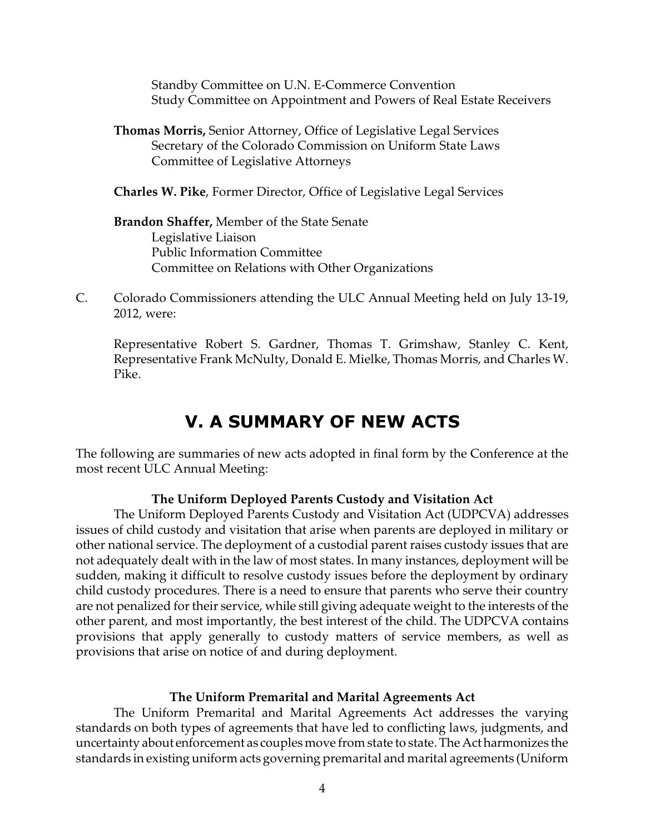Standby Committee on U.N. E-Commerce Convention Study Committee on Appointment and Powers of Real Estate Receivers

**Thomas Morris,** Senior Attorney, Office of Legislative Legal Services Secretary of the Colorado Commission on Uniform State Laws Committee of Legislative Attorneys

**Charles W. Pike**, Former Director, Office of Legislative Legal Services

**Brandon Shaffer,** Member of the State Senate Legislative Liaison Public Information Committee Committee on Relations with Other Organizations

C. Colorado Commissioners attending the ULC Annual Meeting held on July 13-19, 2012, were:

Representative Robert S. Gardner, Thomas T. Grimshaw, Stanley C. Kent, Representative Frank McNulty, Donald E. Mielke, Thomas Morris, and Charles W. Pike.

## **V. A SUMMARY OF NEW ACTS**

The following are summaries of new acts adopted in final form by the Conference at the most recent ULC Annual Meeting:

#### **The Uniform Deployed Parents Custody and Visitation Act**

The Uniform Deployed Parents Custody and Visitation Act (UDPCVA) addresses issues of child custody and visitation that arise when parents are deployed in military or other national service. The deployment of a custodial parent raises custody issues that are not adequately dealt with in the law of most states. In many instances, deployment will be sudden, making it difficult to resolve custody issues before the deployment by ordinary child custody procedures. There is a need to ensure that parents who serve their country are not penalized for their service, while still giving adequate weight to the interests of the other parent, and most importantly, the best interest of the child. The UDPCVA contains provisions that apply generally to custody matters of service members, as well as provisions that arise on notice of and during deployment.

#### **The Uniform Premarital and Marital Agreements Act**

The Uniform Premarital and Marital Agreements Act addresses the varying standards on both types of agreements that have led to conflicting laws, judgments, and uncertainty about enforcement as couples move from state to state. The Act harmonizes the standards in existing uniform acts governing premarital and marital agreements (Uniform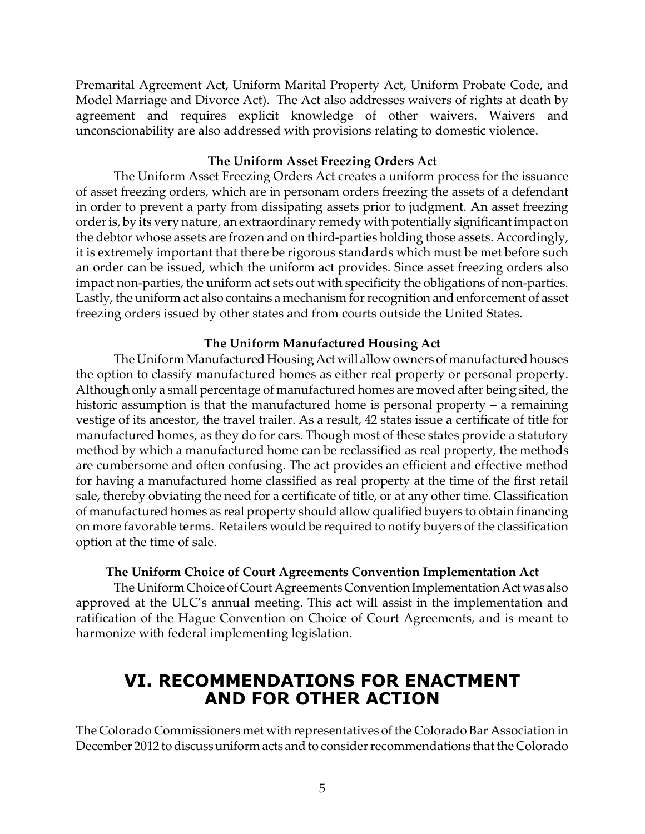Premarital Agreement Act, Uniform Marital Property Act, Uniform Probate Code, and Model Marriage and Divorce Act). The Act also addresses waivers of rights at death by agreement and requires explicit knowledge of other waivers. Waivers and unconscionability are also addressed with provisions relating to domestic violence.

#### **The Uniform Asset Freezing Orders Act**

The Uniform Asset Freezing Orders Act creates a uniform process for the issuance of asset freezing orders, which are in personam orders freezing the assets of a defendant in order to prevent a party from dissipating assets prior to judgment. An asset freezing order is, by its very nature, an extraordinary remedy with potentially significant impact on the debtor whose assets are frozen and on third-parties holding those assets. Accordingly, it is extremely important that there be rigorous standards which must be met before such an order can be issued, which the uniform act provides. Since asset freezing orders also impact non-parties, the uniform act sets out with specificity the obligations of non-parties. Lastly, the uniform act also contains a mechanism for recognition and enforcement of asset freezing orders issued by other states and from courts outside the United States.

#### **The Uniform Manufactured Housing Act**

The Uniform Manufactured Housing Act will allow owners of manufactured houses the option to classify manufactured homes as either real property or personal property. Although only a small percentage of manufactured homes are moved after being sited, the historic assumption is that the manufactured home is personal property – a remaining vestige of its ancestor, the travel trailer. As a result, 42 states issue a certificate of title for manufactured homes, as they do for cars. Though most of these states provide a statutory method by which a manufactured home can be reclassified as real property, the methods are cumbersome and often confusing. The act provides an efficient and effective method for having a manufactured home classified as real property at the time of the first retail sale, thereby obviating the need for a certificate of title, or at any other time. Classification of manufactured homes as real property should allow qualified buyers to obtain financing on more favorable terms. Retailers would be required to notify buyers of the classification option at the time of sale.

#### **The Uniform Choice of Court Agreements Convention Implementation Act**

The Uniform Choice of Court Agreements Convention Implementation Act was also approved at the ULC's annual meeting. This act will assist in the implementation and ratification of the Hague Convention on Choice of Court Agreements, and is meant to harmonize with federal implementing legislation.

### **VI. RECOMMENDATIONS FOR ENACTMENT AND FOR OTHER ACTION**

The Colorado Commissioners met with representatives of the Colorado Bar Association in December 2012 todiscussuniformacts and to consider recommendations that the Colorado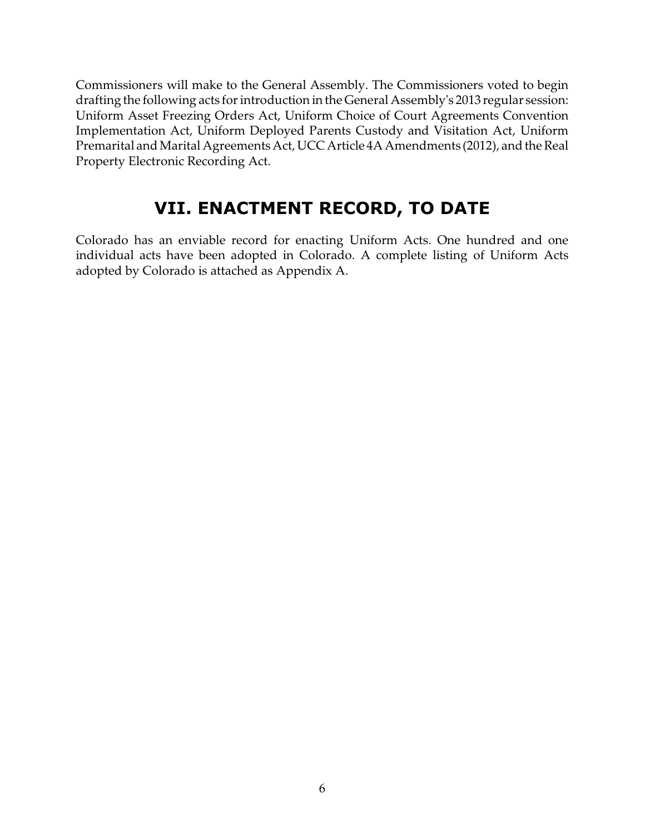Commissioners will make to the General Assembly. The Commissioners voted to begin drafting the following acts for introduction in the General Assembly's 2013 regular session: Uniform Asset Freezing Orders Act, Uniform Choice of Court Agreements Convention Implementation Act, Uniform Deployed Parents Custody and Visitation Act, Uniform Premarital and Marital Agreements Act, UCC Article 4A Amendments (2012), and the Real Property Electronic Recording Act.

# **VII. ENACTMENT RECORD, TO DATE**

Colorado has an enviable record for enacting Uniform Acts. One hundred and one individual acts have been adopted in Colorado. A complete listing of Uniform Acts adopted by Colorado is attached as Appendix A.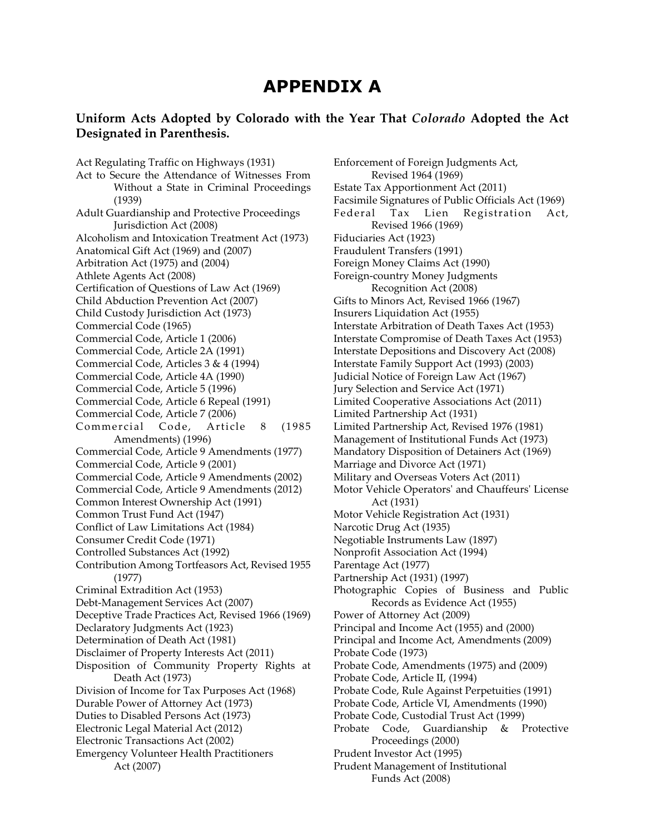### **APPENDIX A**

#### **Uniform Acts Adopted by Colorado with the Year That** *Colorado* **Adopted the Act Designated in Parenthesis.**

Act Regulating Traffic on Highways (1931) Act to Secure the Attendance of Witnesses From Without a State in Criminal Proceedings (1939) Adult Guardianship and Protective Proceedings Jurisdiction Act (2008) Alcoholism and Intoxication Treatment Act (1973) Anatomical Gift Act (1969) and (2007) Arbitration Act (1975) and (2004) Athlete Agents Act (2008) Certification of Questions of Law Act (1969) Child Abduction Prevention Act (2007) Child Custody Jurisdiction Act (1973) Commercial Code (1965) Commercial Code, Article 1 (2006) Commercial Code, Article 2A (1991) Commercial Code, Articles 3 & 4 (1994) Commercial Code, Article 4A (1990) Commercial Code, Article 5 (1996) Commercial Code, Article 6 Repeal (1991) Commercial Code, Article 7 (2006) Commercial Code, Article 8 (1985) Amendments) (1996) Commercial Code, Article 9 Amendments (1977) Commercial Code, Article 9 (2001) Commercial Code, Article 9 Amendments (2002) Commercial Code, Article 9 Amendments (2012) Common Interest Ownership Act (1991) Common Trust Fund Act (1947) Conflict of Law Limitations Act (1984) Consumer Credit Code (1971) Controlled Substances Act (1992) Contribution Among Tortfeasors Act, Revised 1955 (1977) Criminal Extradition Act (1953) Debt-Management Services Act (2007) Deceptive Trade Practices Act, Revised 1966 (1969) Declaratory Judgments Act (1923) Determination of Death Act (1981) Disclaimer of Property Interests Act (2011) Disposition of Community Property Rights at Death Act (1973) Division of Income for Tax Purposes Act (1968) Durable Power of Attorney Act (1973) Duties to Disabled Persons Act (1973) Electronic Legal Material Act (2012) Electronic Transactions Act (2002) Emergency Volunteer Health Practitioners Act (2007)

Enforcement of Foreign Judgments Act, Revised 1964 (1969) Estate Tax Apportionment Act (2011) Facsimile Signatures of Public Officials Act (1969) Federal Tax Lien Registration Act, Revised 1966 (1969) Fiduciaries Act (1923) Fraudulent Transfers (1991) Foreign Money Claims Act (1990) Foreign-country Money Judgments Recognition Act (2008) Gifts to Minors Act, Revised 1966 (1967) Insurers Liquidation Act (1955) Interstate Arbitration of Death Taxes Act (1953) Interstate Compromise of Death Taxes Act (1953) Interstate Depositions and Discovery Act (2008) Interstate Family Support Act (1993) (2003) Judicial Notice of Foreign Law Act (1967) Jury Selection and Service Act (1971) Limited Cooperative Associations Act (2011) Limited Partnership Act (1931) Limited Partnership Act, Revised 1976 (1981) Management of Institutional Funds Act (1973) Mandatory Disposition of Detainers Act (1969) Marriage and Divorce Act (1971) Military and Overseas Voters Act (2011) Motor Vehicle Operators' and Chauffeurs' License Act (1931) Motor Vehicle Registration Act (1931) Narcotic Drug Act (1935) Negotiable Instruments Law (1897) Nonprofit Association Act (1994) Parentage Act (1977) Partnership Act (1931) (1997) Photographic Copies of Business and Public Records as Evidence Act (1955) Power of Attorney Act (2009) Principal and Income Act (1955) and (2000) Principal and Income Act, Amendments (2009) Probate Code (1973) Probate Code, Amendments (1975) and (2009) Probate Code, Article II, (1994) Probate Code, Rule Against Perpetuities (1991) Probate Code, Article VI, Amendments (1990) Probate Code, Custodial Trust Act (1999) Probate Code, Guardianship & Protective Proceedings (2000) Prudent Investor Act (1995) Prudent Management of Institutional Funds Act (2008)